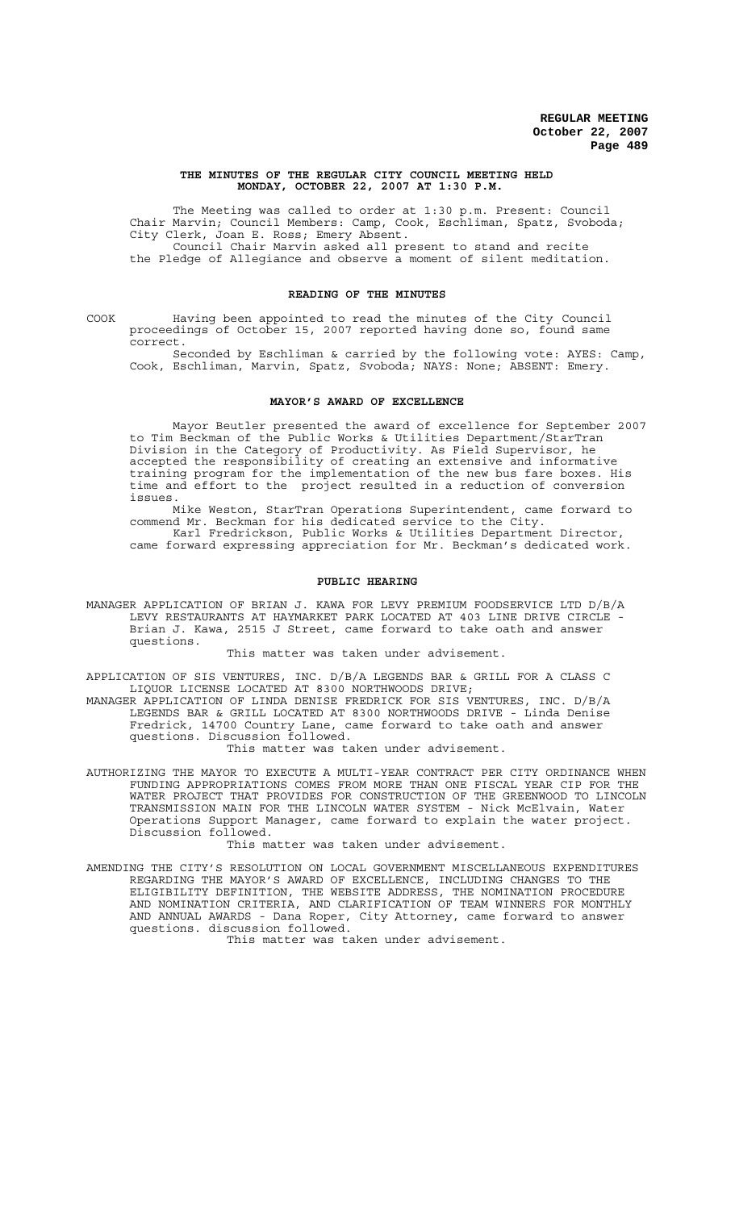#### **THE MINUTES OF THE REGULAR CITY COUNCIL MEETING HELD MONDAY, OCTOBER 22, 2007 AT 1:30 P.M.**

The Meeting was called to order at 1:30 p.m. Present: Council Chair Marvin; Council Members: Camp, Cook, Eschliman, Spatz, Svoboda; City Clerk, Joan E. Ross; Emery Absent. Council Chair Marvin asked all present to stand and recite the Pledge of Allegiance and observe a moment of silent meditation.

### **READING OF THE MINUTES**

COOK Having been appointed to read the minutes of the City Council proceedings of October 15, 2007 reported having done so, found same correct.

Seconded by Eschliman & carried by the following vote: AYES: Camp, Cook, Eschliman, Marvin, Spatz, Svoboda; NAYS: None; ABSENT: Emery.

### **MAYOR'S AWARD OF EXCELLENCE**

Mayor Beutler presented the award of excellence for September 2007 to Tim Beckman of the Public Works & Utilities Department/StarTran Division in the Category of Productivity. As Field Supervisor, he accepted the responsibility of creating an extensive and informative training program for the implementation of the new bus fare boxes. His time and effort to the project resulted in a reduction of conversion issues.

Mike Weston, StarTran Operations Superintendent, came forward to commend Mr. Beckman for his dedicated service to the City. Karl Fredrickson, Public Works & Utilities Department Director, came forward expressing appreciation for Mr. Beckman's dedicated work.

#### **PUBLIC HEARING**

MANAGER APPLICATION OF BRIAN J. KAWA FOR LEVY PREMIUM FOODSERVICE LTD D/B/A LEVY RESTAURANTS AT HAYMARKET PARK LOCATED AT 403 LINE DRIVE CIRCLE -Brian J. Kawa, 2515 J Street, came forward to take oath and answer questions.

This matter was taken under advisement.

APPLICATION OF SIS VENTURES, INC. D/B/A LEGENDS BAR & GRILL FOR A CLASS C LIQUOR LICENSE LOCATED AT 8300 NORTHWOODS DRIVE;

MANAGER APPLICATION OF LINDA DENISE FREDRICK FOR SIS VENTURES, INC. D/B/A LEGENDS BAR & GRILL LOCATED AT 8300 NORTHWOODS DRIVE - Linda Denise Fredrick, 14700 Country Lane, came forward to take oath and answer questions. Discussion followed.

This matter was taken under advisement.

AUTHORIZING THE MAYOR TO EXECUTE A MULTI-YEAR CONTRACT PER CITY ORDINANCE WHEN FUNDING APPROPRIATIONS COMES FROM MORE THAN ONE FISCAL YEAR CIP FOR THE WATER PROJECT THAT PROVIDES FOR CONSTRUCTION OF THE GREENWOOD TO LINCOLN TRANSMISSION MAIN FOR THE LINCOLN WATER SYSTEM - Nick McElvain, Water Operations Support Manager, came forward to explain the water project. Discussion followed.

This matter was taken under advisement.

AMENDING THE CITY'S RESOLUTION ON LOCAL GOVERNMENT MISCELLANEOUS EXPENDITURES REGARDING THE MAYOR'S AWARD OF EXCELLENCE, INCLUDING CHANGES TO THE ELIGIBILITY DEFINITION, THE WEBSITE ADDRESS, THE NOMINATION PROCEDURE AND NOMINATION CRITERIA, AND CLARIFICATION OF TEAM WINNERS FOR MONTHLY AND ANNUAL AWARDS - Dana Roper, City Attorney, came forward to answer questions. discussion followed.

This matter was taken under advisement.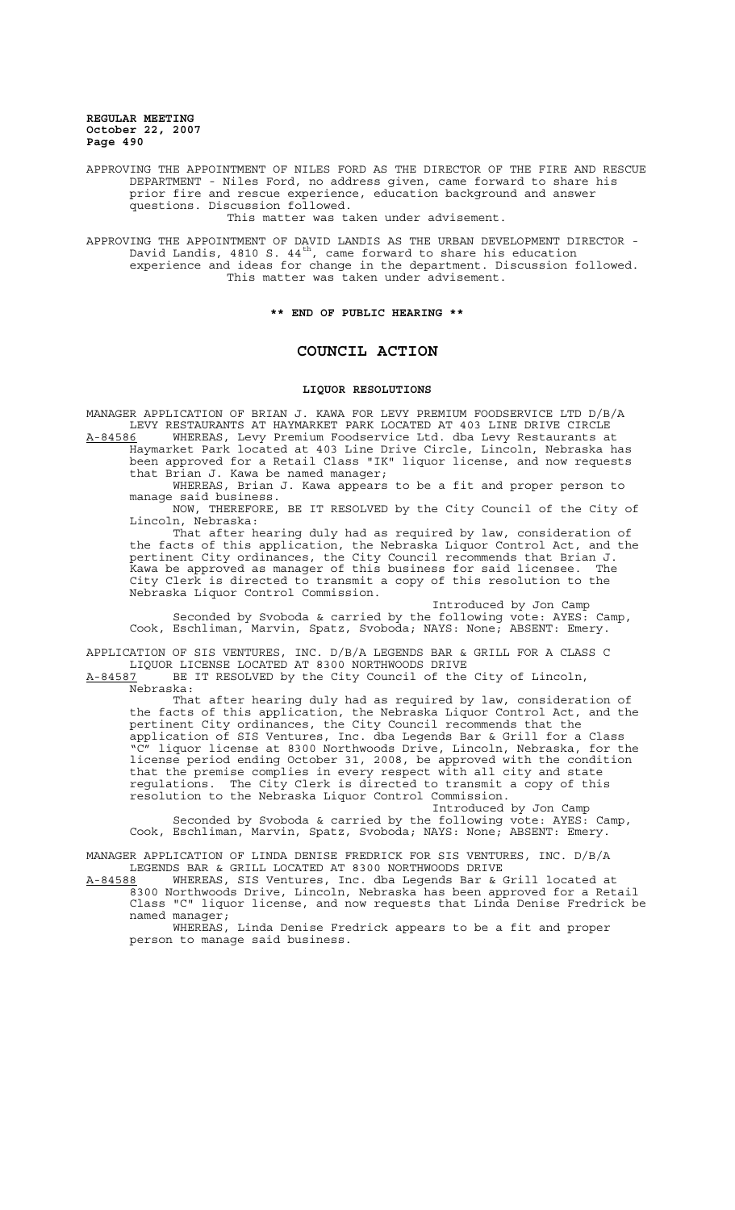APPROVING THE APPOINTMENT OF NILES FORD AS THE DIRECTOR OF THE FIRE AND RESCUE DEPARTMENT - Niles Ford, no address given, came forward to share his prior fire and rescue experience, education background and answer questions. Discussion followed.

This matter was taken under advisement.

APPROVING THE APPOINTMENT OF DAVID LANDIS AS THE URBAN DEVELOPMENT DIRECTOR - David Landis, 4810 S. 44 $^{\rm th}$ , came forward to share his education experience and ideas for change in the department. Discussion followed. This matter was taken under advisement.

**\*\* END OF PUBLIC HEARING \*\***

### **COUNCIL ACTION**

#### **LIQUOR RESOLUTIONS**

MANAGER APPLICATION OF BRIAN J. KAWA FOR LEVY PREMIUM FOODSERVICE LTD D/B/A LEVY RESTAURANTS AT HAYMARKET PARK LOCATED AT 403 LINE DRIVE CIRCLE<br>A-84586 WHEREAS, Levy Premium Foodservice Ltd. dba Levy Restaurants at

A-84586 MHEREAS, Levy Premium Foodservice Ltd. dba Levy Restaurants at Haymarket Park located at 403 Line Drive Circle, Lincoln, Nebraska has been approved for a Retail Class "IK" liquor license, and now requests that Brian J. Kawa be named manager;

WHEREAS, Brian J. Kawa appears to be a fit and proper person to manage said business.

NOW, THEREFORE, BE IT RESOLVED by the City Council of the City of Lincoln, Nebraska:

That after hearing duly had as required by law, consideration of the facts of this application, the Nebraska Liquor Control Act, and the pertinent City ordinances, the City Council recommends that Brian J. Kawa be approved as manager of this business for said licensee. The City Clerk is directed to transmit a copy of this resolution to the Nebraska Liquor Control Commission.

Introduced by Jon Camp Seconded by Svoboda & carried by the following vote: AYES: Camp, Cook, Eschliman, Marvin, Spatz, Svoboda; NAYS: None; ABSENT: Emery.

APPLICATION OF SIS VENTURES, INC. D/B/A LEGENDS BAR & GRILL FOR A CLASS C LIQUOR LICENSE LOCATED AT 8300 NORTHWOODS DRIVE

A-84587 BE IT RESOLVED by the City Council of the City of Lincoln, Nebraska:

That after hearing duly had as required by law, consideration of the facts of this application, the Nebraska Liquor Control Act, and the pertinent City ordinances, the City Council recommends that the application of SIS Ventures, Inc. dba Legends Bar & Grill for a Class "C" liquor license at 8300 Northwoods Drive, Lincoln, Nebraska, for the license period ending October 31, 2008, be approved with the condition that the premise complies in every respect with all city and state regulations. The City Clerk is directed to transmit a copy of this resolution to the Nebraska Liquor Control Commission.

Introduced by Jon Camp

Seconded by Svoboda & carried by the following vote: AYES: Camp, Cook, Eschliman, Marvin, Spatz, Svoboda; NAYS: None; ABSENT: Emery.

MANAGER APPLICATION OF LINDA DENISE FREDRICK FOR SIS VENTURES, INC. D/B/A LEGENDS BAR & GRILL LOCATED AT 8300 NORTHWOODS DRIVE<br>A-84588 WHEREAS, SIS Ventures, Inc. dba Leqends Bar & G

A-84588 MHEREAS, SIS Ventures, Inc. dba Legends Bar & Grill located at 8300 Northwoods Drive, Lincoln, Nebraska has been approved for a Retail Class "C" liquor license, and now requests that Linda Denise Fredrick be named manager;

WHEREAS, Linda Denise Fredrick appears to be a fit and proper person to manage said business.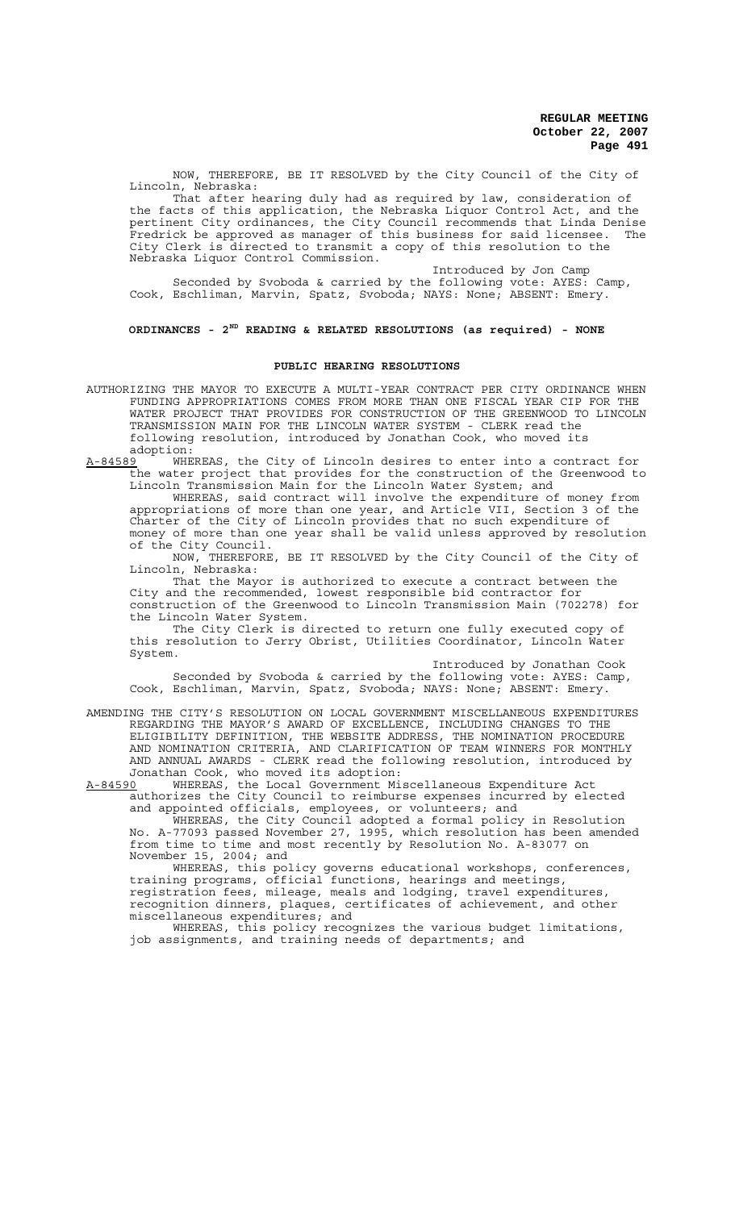NOW, THEREFORE, BE IT RESOLVED by the City Council of the City of Lincoln, Nebraska:

That after hearing duly had as required by law, consideration of the facts of this application, the Nebraska Liquor Control Act, and the pertinent City ordinances, the City Council recommends that Linda Denise Fredrick be approved as manager of this business for said licensee. The City Clerk is directed to transmit a copy of this resolution to the Nebraska Liquor Control Commission.

Introduced by Jon Camp

Seconded by Svoboda & carried by the following vote: AYES: Camp, Cook, Eschliman, Marvin, Spatz, Svoboda; NAYS: None; ABSENT: Emery.

## **ORDINANCES - 2ND READING & RELATED RESOLUTIONS (as required) - NONE**

### **PUBLIC HEARING RESOLUTIONS**

- AUTHORIZING THE MAYOR TO EXECUTE A MULTI-YEAR CONTRACT PER CITY ORDINANCE WHEN FUNDING APPROPRIATIONS COMES FROM MORE THAN ONE FISCAL YEAR CIP FOR THE WATER PROJECT THAT PROVIDES FOR CONSTRUCTION OF THE GREENWOOD TO LINCOLN TRANSMISSION MAIN FOR THE LINCOLN WATER SYSTEM - CLERK read the following resolution, introduced by Jonathan Cook, who moved its
- adoption:<br><u>A-84589</u> WHE A-84589 WHEREAS, the City of Lincoln desires to enter into a contract for the water project that provides for the construction of the Greenwood to Lincoln Transmission Main for the Lincoln Water System; and

WHEREAS, said contract will involve the expenditure of money from appropriations of more than one year, and Article VII, Section 3 of the Charter of the City of Lincoln provides that no such expenditure of money of more than one year shall be valid unless approved by resolution of the City Council.

NOW, THEREFORE, BE IT RESOLVED by the City Council of the City of Lincoln, Nebraska:

That the Mayor is authorized to execute a contract between the City and the recommended, lowest responsible bid contractor for construction of the Greenwood to Lincoln Transmission Main (702278) for the Lincoln Water System.

The City Clerk is directed to return one fully executed copy of this resolution to Jerry Obrist, Utilities Coordinator, Lincoln Water System.

Introduced by Jonathan Cook

Seconded by Svoboda & carried by the following vote: AYES: Camp, Cook, Eschliman, Marvin, Spatz, Svoboda; NAYS: None; ABSENT: Emery.

AMENDING THE CITY'S RESOLUTION ON LOCAL GOVERNMENT MISCELLANEOUS EXPENDITURES REGARDING THE MAYOR'S AWARD OF EXCELLENCE, INCLUDING CHANGES TO THE ELIGIBILITY DEFINITION, THE WEBSITE ADDRESS, THE NOMINATION PROCEDURE AND NOMINATION CRITERIA, AND CLARIFICATION OF TEAM WINNERS FOR MONTHLY AND ANNUAL AWARDS - CLERK read the following resolution, introduced by Jonathan Cook, who moved its adoption:<br>A-84590 WHEREAS, the Local Government Mi

WHEREAS, the Local Government Miscellaneous Expenditure Act authorizes the City Council to reimburse expenses incurred by elected and appointed officials, employees, or volunteers; and

WHEREAS, the City Council adopted a formal policy in Resolution No. A-77093 passed November 27, 1995, which resolution has been amended from time to time and most recently by Resolution No. A-83077 on November 15, 2004; and

WHEREAS, this policy governs educational workshops, conferences, training programs, official functions, hearings and meetings, registration fees, mileage, meals and lodging, travel expenditures, recognition dinners, plaques, certificates of achievement, and other miscellaneous expenditures; and

WHEREAS, this policy recognizes the various budget limitations, job assignments, and training needs of departments; and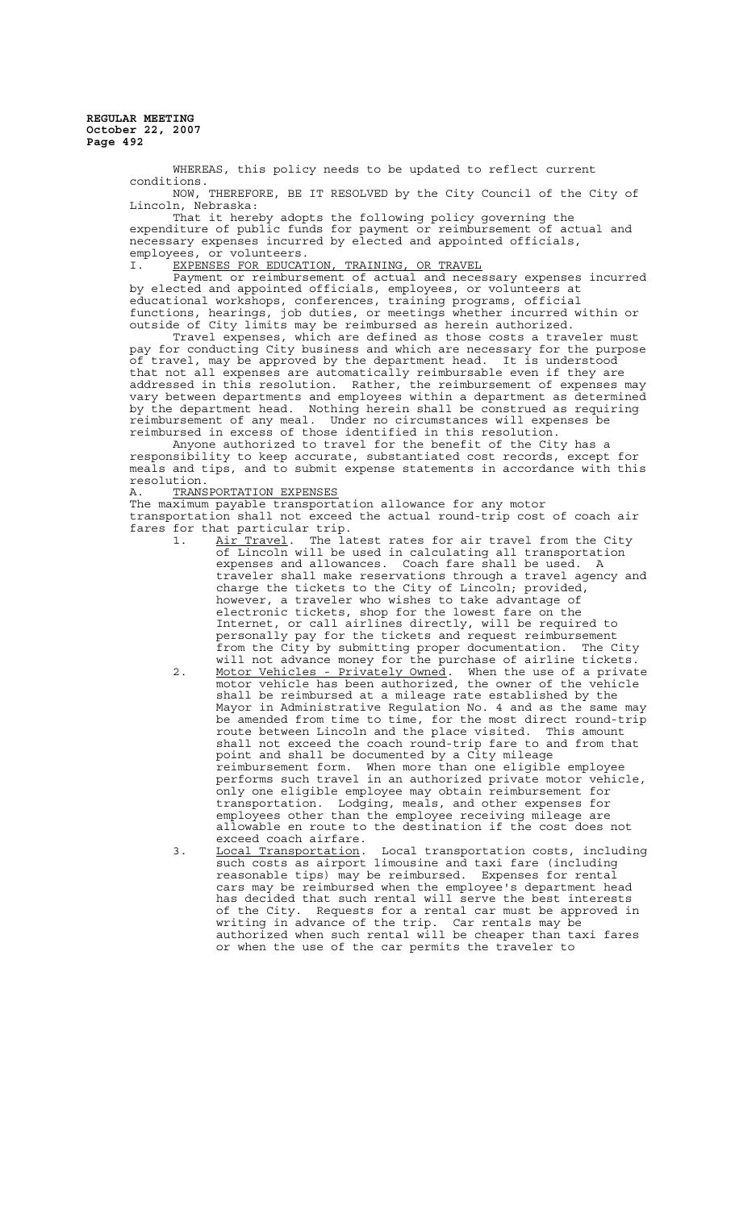> WHEREAS, this policy needs to be updated to reflect current conditions. NOW, THEREFORE, BE IT RESOLVED by the City Council of the City of

> Lincoln, Nebraska:

That it hereby adopts the following policy governing the expenditure of public funds for payment or reimbursement of actual and necessary expenses incurred by elected and appointed officials, employees, or volunteers.

I. EXPENSES FOR EDUCATION, TRAINING, OR TRAVEL

Payment or reimbursement of actual and necessary expenses incurred by elected and appointed officials, employees, or volunteers at educational workshops, conferences, training programs, official functions, hearings, job duties, or meetings whether incurred within or outside of City limits may be reimbursed as herein authorized.

Travel expenses, which are defined as those costs a traveler must pay for conducting City business and which are necessary for the purpose of travel, may be approved by the department head. It is understood that not all expenses are automatically reimbursable even if they are addressed in this resolution. Rather, the reimbursement of expenses may vary between departments and employees within a department as determined by the department head. Nothing herein shall be construed as requiring reimbursement of any meal. Under no circumstances will expenses be reimbursed in excess of those identified in this resolution.

Anyone authorized to travel for the benefit of the City has a responsibility to keep accurate, substantiated cost records, except for meals and tips, and to submit expense statements in accordance with this resolution.

A. TRANSPORTATION EXPENSES

The maximum payable transportation allowance for any motor transportation shall not exceed the actual round-trip cost of coach air fares for that particular trip.<br>1. Air Travel. The la

- 1. Air Travel. The latest rates for air travel from the City of Lincoln will be used in calculating all transportation expenses and allowances. Coach fare shall be used. A traveler shall make reservations through a travel agency and charge the tickets to the City of Lincoln; provided, however, a traveler who wishes to take advantage of electronic tickets, shop for the lowest fare on the Internet, or call airlines directly, will be required to personally pay for the tickets and request reimbursement from the City by submitting proper documentation. The City will not advance money for the purchase of airline tickets. 2. Motor Vehicles - Privately Owned. When the use of a private motor vehicle has been authorized, the owner of the vehicle shall be reimbursed at a mileage rate established by the Mayor in Administrative Regulation No. 4 and as the same may be amended from time to time, for the most direct round-trip route between Lincoln and the place visited. This amount shall not exceed the coach round-trip fare to and from that point and shall be documented by a City mileage reimbursement form. When more than one eligible employee performs such travel in an authorized private motor vehicle, only one eligible employee may obtain reimbursement for transportation. Lodging, meals, and other expenses for employees other than the employee receiving mileage are allowable en route to the destination if the cost does not exceed coach airfare.<br>Local Transportation.
- 3. Local Transportation. Local transportation costs, including such costs as airport limousine and taxi fare (including reasonable tips) may be reimbursed. Expenses for rental cars may be reimbursed when the employee's department head has decided that such rental will serve the best interests of the City. Requests for a rental car must be approved in writing in advance of the trip. Car rentals may be authorized when such rental will be cheaper than taxi fares or when the use of the car permits the traveler to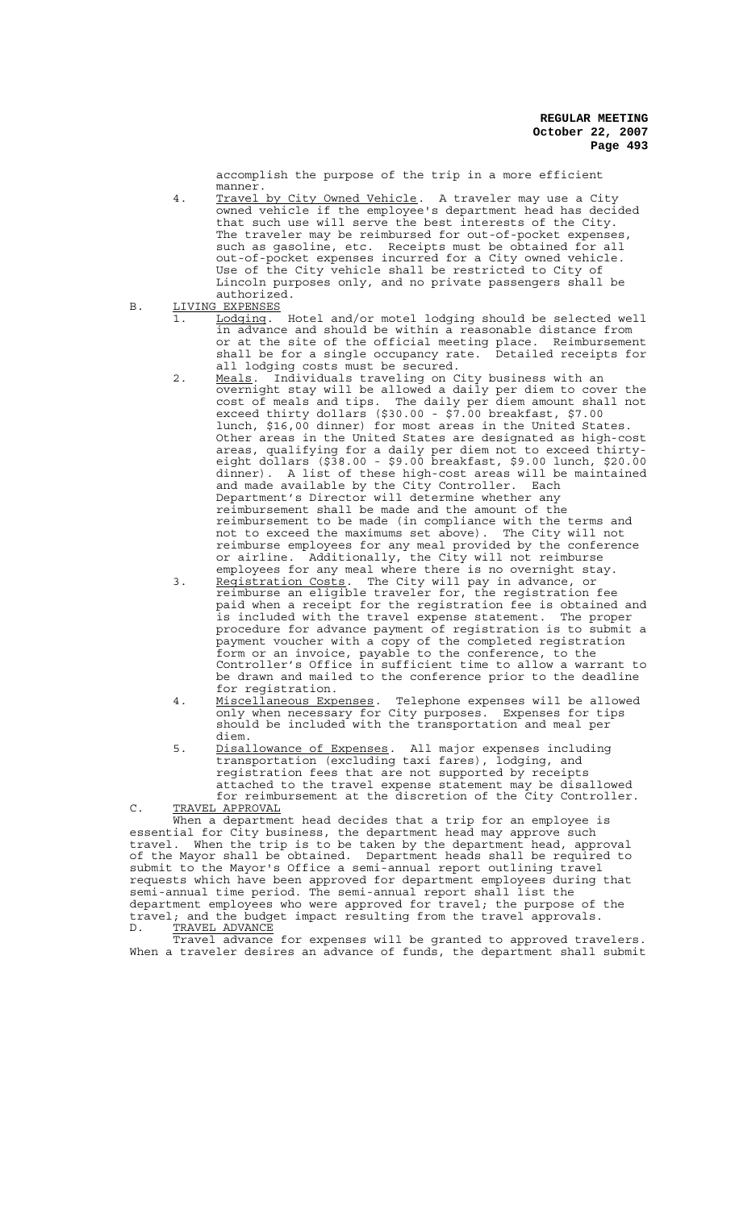accomplish the purpose of the trip in a more efficient manner.

- 4. Travel by City Owned Vehicle. A traveler may use a City owned vehicle if the employee's department head has decided that such use will serve the best interests of the City. The traveler may be reimbursed for out-of-pocket expenses, such as gasoline, etc. Receipts must be obtained for all out-of-pocket expenses incurred for a City owned vehicle. Use of the City vehicle shall be restricted to City of Lincoln purposes only, and no private passengers shall be authorized.
- B. LIVING EXPENSES
	- 1. Lodging. Hotel and/or motel lodging should be selected well in advance and should be within a reasonable distance from or at the site of the official meeting place. Reimbursement shall be for a single occupancy rate. Detailed receipts for all lodging costs must be secured.
	- 2. Meals. Individuals traveling on City business with an overnight stay will be allowed a daily per diem to cover the cost of meals and tips. The daily per diem amount shall not exceed thirty dollars (\$30.00 - \$7.00 breakfast, \$7.00 lunch, \$16,00 dinner) for most areas in the United States. Other areas in the United States are designated as high-cost areas, qualifying for a daily per diem not to exceed thirtyeight dollars (\$38.00 - \$9.00 breakfast, \$9.00 lunch, \$20.00 dinner). A list of these high-cost areas will be maintained and made available by the City Controller. Each Department's Director will determine whether any reimbursement shall be made and the amount of the reimbursement to be made (in compliance with the terms and not to exceed the maximums set above). The City will not reimburse employees for any meal provided by the conference or airline. Additionally, the City will not reimburse employees for any meal where there is no overnight stay.
	- 3. Registration Costs. The City will pay in advance, or reimburse an eligible traveler for, the registration fee paid when a receipt for the registration fee is obtained and is included with the travel expense statement. The proper procedure for advance payment of registration is to submit a payment voucher with a copy of the completed registration form or an invoice, payable to the conference, to the Controller's Office in sufficient time to allow a warrant to be drawn and mailed to the conference prior to the deadline
	- for registration.<br>Miscellaneous Expenses. 4. Miscellaneous Expenses. Telephone expenses will be allowed only when necessary for City purposes. Expenses for tips should be included with the transportation and meal per diem.
	- 5. Disallowance of Expenses. All major expenses including transportation (excluding taxi fares), lodging, and registration fees that are not supported by receipts attached to the travel expense statement may be disallowed for reimbursement at the discretion of the City Controller.

C. TRAVEL APPROVAL When a department head decides that a trip for an employee is essential for City business, the department head may approve such travel. When the trip is to be taken by the department head, approval of the Mayor shall be obtained. Department heads shall be required to submit to the Mayor's Office a semi-annual report outlining travel requests which have been approved for department employees during that semi-annual time period. The semi-annual report shall list the department employees who were approved for travel; the purpose of the travel; and the budget impact resulting from the travel approvals. D. TRAVEL ADVANCE

Travel advance for expenses will be granted to approved travelers. When a traveler desires an advance of funds, the department shall submit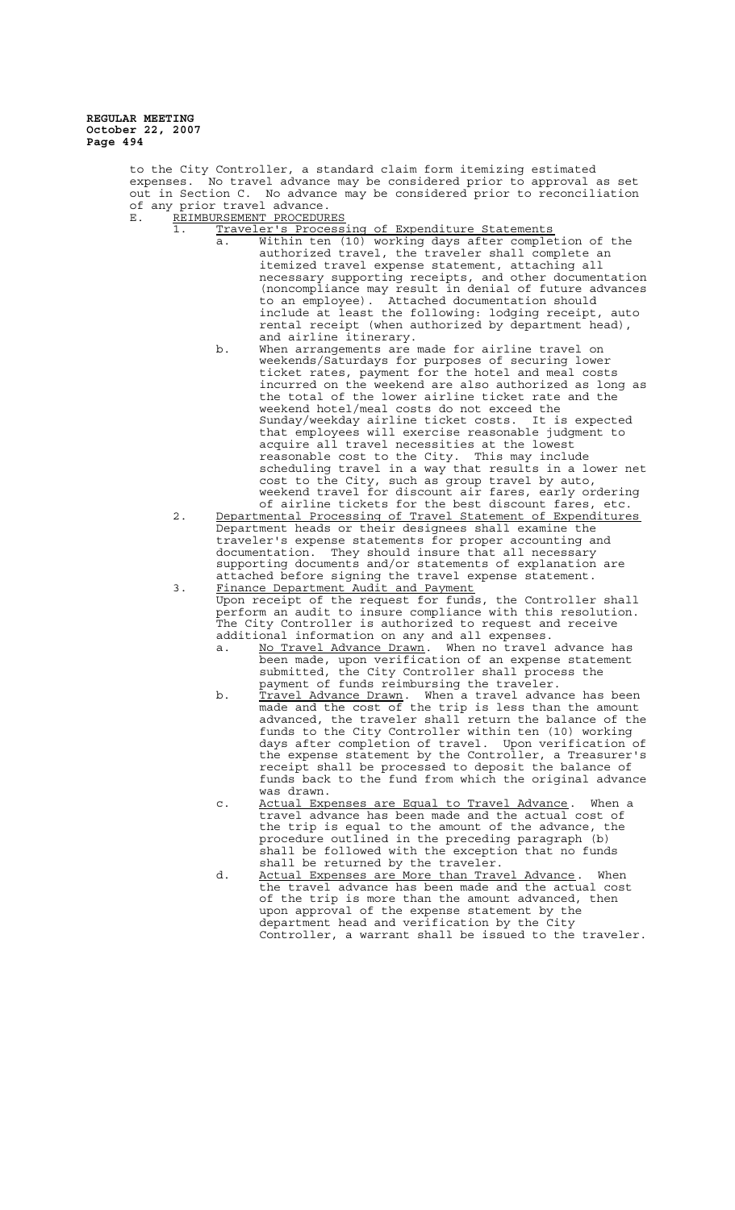> to the City Controller, a standard claim form itemizing estimated expenses. No travel advance may be considered prior to approval as set out in Section C. No advance may be considered prior to reconciliation of any prior travel advance.

- E. REIMBURSEMENT PROCEDURES
	- 1. Traveler's Processing of Expenditure Statements
		- a. Within ten (10) working days after completion of the authorized travel, the traveler shall complete an itemized travel expense statement, attaching all necessary supporting receipts, and other documentation (noncompliance may result in denial of future advances to an employee). Attached documentation should include at least the following: lodging receipt, auto rental receipt (when authorized by department head), and airline itinerary.
		- b. When arrangements are made for airline travel on weekends/Saturdays for purposes of securing lower ticket rates, payment for the hotel and meal costs incurred on the weekend are also authorized as long as the total of the lower airline ticket rate and the weekend hotel/meal costs do not exceed the Sunday/weekday airline ticket costs. It is expected that employees will exercise reasonable judgment to acquire all travel necessities at the lowest reasonable cost to the City. This may include scheduling travel in a way that results in a lower net cost to the City, such as group travel by auto, weekend travel for discount air fares, early ordering of airline tickets for the best discount fares, etc.
	- 2. Departmental Processing of Travel Statement of Expenditures Department heads or their designees shall examine the traveler's expense statements for proper accounting and documentation. They should insure that all necessary supporting documents and/or statements of explanation are attached before signing the travel expense statement.

3. Finance Department Audit and Payment Upon receipt of the request for funds, the Controller shall perform an audit to insure compliance with this resolution. The City Controller is authorized to request and receive additional information on any and all expenses.

- a. No Travel Advance Drawn. When no travel advance has been made, upon verification of an expense statement submitted, the City Controller shall process the payment of funds reimbursing the traveler.
- b. <u>Travel Advance Drawn</u>. When a travel advance has been made and the cost of the trip is less than the amount advanced, the traveler shall return the balance of the funds to the City Controller within ten (10) working days after completion of travel. Upon verification of the expense statement by the Controller, a Treasurer's receipt shall be processed to deposit the balance of funds back to the fund from which the original advance was drawn.
- c. Actual Expenses are Equal to Travel Advance. When a travel advance has been made and the actual cost of the trip is equal to the amount of the advance, the<br>procedure outlined in the preceding paragraph (b)  $procedure$  outlined in the preceding paragraph shall be followed with the exception that no funds shall be returned by the traveler.
- d. Actual Expenses are More than Travel Advance. When the travel advance has been made and the actual cost of the trip is more than the amount advanced, then upon approval of the expense statement by the department head and verification by the City Controller, a warrant shall be issued to the traveler.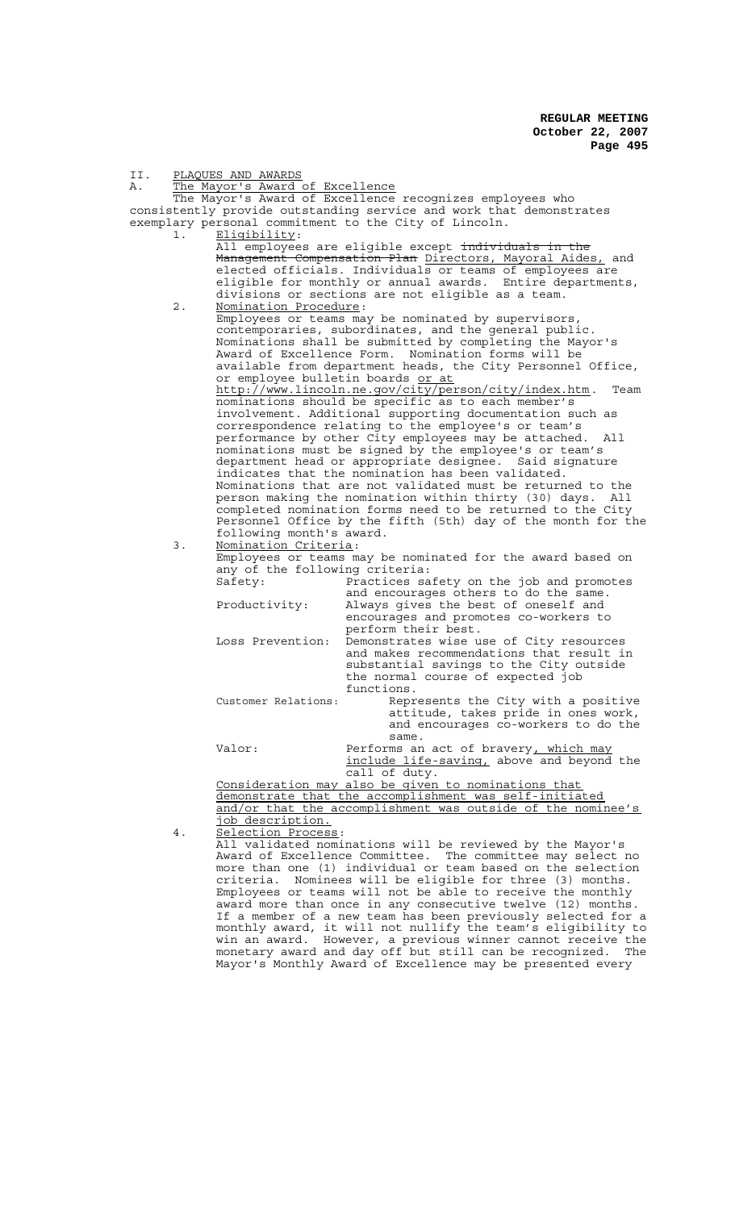| II.                                                                                                                  | PLAQUES AND AWARDS |                                                                                                                            |                                                                                                                              |  |  |
|----------------------------------------------------------------------------------------------------------------------|--------------------|----------------------------------------------------------------------------------------------------------------------------|------------------------------------------------------------------------------------------------------------------------------|--|--|
| Α.                                                                                                                   |                    | The Mayor's Award of Excellence                                                                                            |                                                                                                                              |  |  |
|                                                                                                                      |                    |                                                                                                                            | The Mayor's Award of Excellence recognizes employees who                                                                     |  |  |
|                                                                                                                      |                    |                                                                                                                            | consistently provide outstanding service and work that demonstrates<br>exemplary personal commitment to the City of Lincoln. |  |  |
|                                                                                                                      | 1.                 | Eligibility:                                                                                                               |                                                                                                                              |  |  |
|                                                                                                                      |                    |                                                                                                                            | All employees are eligible except individuals in the                                                                         |  |  |
|                                                                                                                      |                    |                                                                                                                            | Management Compensation Plan Directors, Mayoral Aides, and                                                                   |  |  |
|                                                                                                                      |                    | elected officials. Individuals or teams of employees are                                                                   |                                                                                                                              |  |  |
|                                                                                                                      |                    | eligible for monthly or annual awards. Entire departments,                                                                 |                                                                                                                              |  |  |
|                                                                                                                      |                    |                                                                                                                            | divisions or sections are not eligible as a team.                                                                            |  |  |
|                                                                                                                      | $2$ .              | Nomination Procedure:                                                                                                      |                                                                                                                              |  |  |
|                                                                                                                      |                    |                                                                                                                            | Employees or teams may be nominated by supervisors,                                                                          |  |  |
|                                                                                                                      |                    | contemporaries, subordinates, and the general public.                                                                      |                                                                                                                              |  |  |
|                                                                                                                      |                    | Nominations shall be submitted by completing the Mayor's                                                                   |                                                                                                                              |  |  |
| Award of Excellence Form.<br>Nomination forms will be<br>available from department heads, the City Personnel Office, |                    |                                                                                                                            |                                                                                                                              |  |  |
|                                                                                                                      |                    |                                                                                                                            |                                                                                                                              |  |  |
|                                                                                                                      |                    | or employee bulletin boards or at<br>http://www.lincoln.ne.gov/city/person/city/index.htm.<br>Team                         |                                                                                                                              |  |  |
|                                                                                                                      |                    |                                                                                                                            | nominations should be specific as to each member's                                                                           |  |  |
|                                                                                                                      |                    |                                                                                                                            | involvement. Additional supporting documentation such as                                                                     |  |  |
|                                                                                                                      |                    |                                                                                                                            | correspondence relating to the employee's or team's                                                                          |  |  |
|                                                                                                                      |                    |                                                                                                                            | performance by other City employees may be attached.<br>All                                                                  |  |  |
|                                                                                                                      |                    |                                                                                                                            | nominations must be signed by the employee's or team's                                                                       |  |  |
|                                                                                                                      |                    | department head or appropriate designee. Said signature                                                                    |                                                                                                                              |  |  |
|                                                                                                                      |                    | indicates that the nomination has been validated.                                                                          |                                                                                                                              |  |  |
|                                                                                                                      |                    | Nominations that are not validated must be returned to the                                                                 |                                                                                                                              |  |  |
|                                                                                                                      |                    |                                                                                                                            | person making the nomination within thirty (30) days.<br>All                                                                 |  |  |
|                                                                                                                      |                    | completed nomination forms need to be returned to the City<br>Personnel Office by the fifth (5th) day of the month for the |                                                                                                                              |  |  |
|                                                                                                                      |                    | following month's award.                                                                                                   |                                                                                                                              |  |  |
|                                                                                                                      | 3.                 | Nomination Criteria:                                                                                                       |                                                                                                                              |  |  |
|                                                                                                                      |                    | Employees or teams may be nominated for the award based on                                                                 |                                                                                                                              |  |  |
|                                                                                                                      |                    | any of the following criteria:                                                                                             |                                                                                                                              |  |  |
|                                                                                                                      |                    | Safety:                                                                                                                    | Practices safety on the job and promotes                                                                                     |  |  |
|                                                                                                                      |                    |                                                                                                                            | and encourages others to do the same.                                                                                        |  |  |
|                                                                                                                      |                    | Productivity:                                                                                                              | Always gives the best of oneself and                                                                                         |  |  |
|                                                                                                                      |                    |                                                                                                                            | encourages and promotes co-workers to                                                                                        |  |  |
|                                                                                                                      |                    |                                                                                                                            | perform their best.                                                                                                          |  |  |
|                                                                                                                      |                    | Loss Prevention:                                                                                                           | Demonstrates wise use of City resources                                                                                      |  |  |
|                                                                                                                      |                    |                                                                                                                            | and makes recommendations that result in<br>substantial savings to the City outside                                          |  |  |
|                                                                                                                      |                    |                                                                                                                            | the normal course of expected job                                                                                            |  |  |
|                                                                                                                      |                    |                                                                                                                            | functions.                                                                                                                   |  |  |
|                                                                                                                      |                    | Customer Relations:                                                                                                        | Represents the City with a positive                                                                                          |  |  |
|                                                                                                                      |                    |                                                                                                                            | attitude, takes pride in ones work,                                                                                          |  |  |
|                                                                                                                      |                    |                                                                                                                            | and encourages co-workers to do the                                                                                          |  |  |
|                                                                                                                      |                    |                                                                                                                            | same.                                                                                                                        |  |  |
|                                                                                                                      |                    | Valor:                                                                                                                     | Performs an act of bravery, which may                                                                                        |  |  |
|                                                                                                                      |                    |                                                                                                                            | include life-saving, above and beyond the                                                                                    |  |  |
|                                                                                                                      |                    |                                                                                                                            | call of duty.                                                                                                                |  |  |
|                                                                                                                      |                    |                                                                                                                            | Consideration may also be given to nominations that                                                                          |  |  |
|                                                                                                                      |                    | demonstrate that the accomplishment was self-initiated<br>and/or that the accomplishment was outside of the nominee's      |                                                                                                                              |  |  |
|                                                                                                                      |                    | job description.                                                                                                           |                                                                                                                              |  |  |
|                                                                                                                      | 4.                 | Selection Process:                                                                                                         |                                                                                                                              |  |  |
|                                                                                                                      |                    | All validated nominations will be reviewed by the Mayor's                                                                  |                                                                                                                              |  |  |
|                                                                                                                      |                    | Award of Excellence Committee. The committee may select no                                                                 |                                                                                                                              |  |  |
|                                                                                                                      |                    | more than one (1) individual or team based on the selection                                                                |                                                                                                                              |  |  |
|                                                                                                                      |                    |                                                                                                                            | criteria. Nominees will be eligible for three (3) months.                                                                    |  |  |
|                                                                                                                      |                    |                                                                                                                            | Employees or teams will not be able to receive the monthly                                                                   |  |  |
|                                                                                                                      |                    |                                                                                                                            | award more than once in any consecutive twelve (12) months.                                                                  |  |  |
|                                                                                                                      |                    |                                                                                                                            | If a member of a new team has been previously selected for a                                                                 |  |  |
|                                                                                                                      |                    |                                                                                                                            | monthly award, it will not nullify the team's eligibility to                                                                 |  |  |

win an award. However, a previous winner cannot receive the monetary award and day off but still can be recognized. The Mayor's Monthly Award of Excellence may be presented every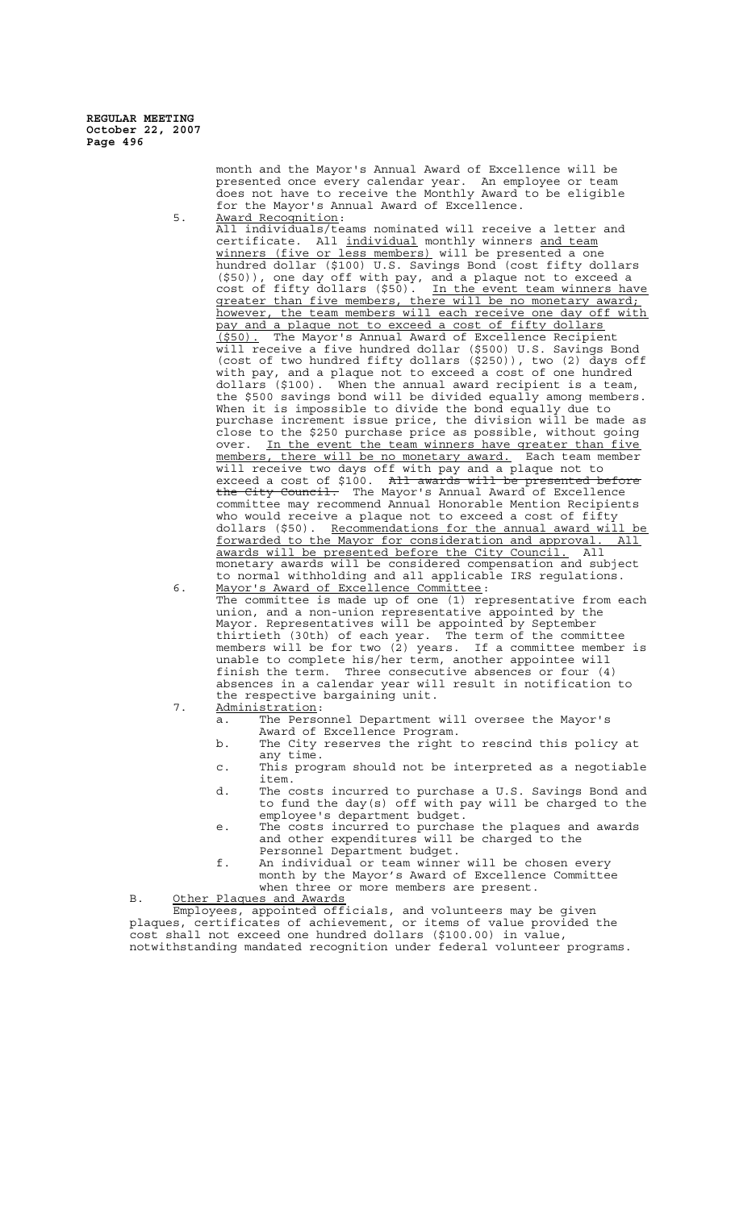> month and the Mayor's Annual Award of Excellence will be presented once every calendar year. An employee or team does not have to receive the Monthly Award to be eligible for the Mayor's Annual Award of Excellence. 5. Award Recognition:

All individuals/teams nominated will receive a letter and certificate. All individual monthly winners and team winners (five or less members) will be presented a one hundred dollar (\$100) U.S. Savings Bond (cost fifty do  $( $100)$  U.S. Savings Bond (cost fifty dollars (\$50)), one day off with pay, and a plaque not to exceed a cost of fifty dollars (\$50). In the event team winners have cost of fifty dollars (\$50). In the event team winners have greater than five members, there will be no monetary award; however, the team members will each receive one day off with pay and a plaque not to exceed a cost of fifty dollars<br>(\$50). The Mavor's Annual Award of Excellence Recipies The Mayor's Annual Award of Excellence Recipient will receive a five hundred dollar (\$500) U.S. Savings Bond (cost of two hundred fifty dollars (\$250)), two (2) days off with pay, and a plaque not to exceed a cost of one hundred dollars (\$100). When the annual award recipient is a team, the \$500 savings bond will be divided equally among members. When it is impossible to divide the bond equally due to purchase increment issue price, the division will be made as close to the \$250 purchase price as possible, without going over. In the event the team winners have greater than five members, there will be no monetary award. Each team member will receive two days off with pay and a plaque not to exceed a cost of \$100. All awards will be presented before the City Council. The Mayor's Annual Award of Excellence committee may recommend Annual Honorable Mention Recipients who would receive a plaque not to exceed a cost of fifty dollars (\$50). Recommendations for the annual award wil dollars (\$50). Recommendations for the annual award will be<br>forwarded to the Mayor for consideration and approval. All the Mayor for consideration and approval. All<br>be presented before the City Council. All awards will be presented before the City Council. monetary awards will be considered compensation and subject to normal withholding and all applicable IRS regulations.

6. Mayor's Award of Excellence Committee:<br>The committee is made up of one (1) re committee is made up of one (1) representative from each union, and a non-union representative appointed by the Mayor. Representatives will be appointed by September thirtieth (30th) of each year. The term of the committee members will be for two (2) years. If a committee member is unable to complete his/her term, another appointee will finish the term. Three consecutive absences or four (4) absences in a calendar year will result in notification to the respective bargaining unit.

- 7. Administration:<br>
a. The Personnel Department will oversee the Mayor's
	- Award of Excellence Program.
	- b. The City reserves the right to rescind this policy at any time.
	- c. This program should not be interpreted as a negotiable item.
	- d. The costs incurred to purchase a U.S. Savings Bond and to fund the day(s) off with pay will be charged to the employee's department budget.
	- e. The costs incurred to purchase the plaques and awards and other expenditures will be charged to the Personnel Department budget.
	- f. An individual or team winner will be chosen every month by the Mayor's Award of Excellence Committee when three or more members are present.

B. Other Plaques and Awards

Employees, appointed officials, and volunteers may be given plaques, certificates of achievement, or items of value provided the cost shall not exceed one hundred dollars (\$100.00) in value, notwithstanding mandated recognition under federal volunteer programs.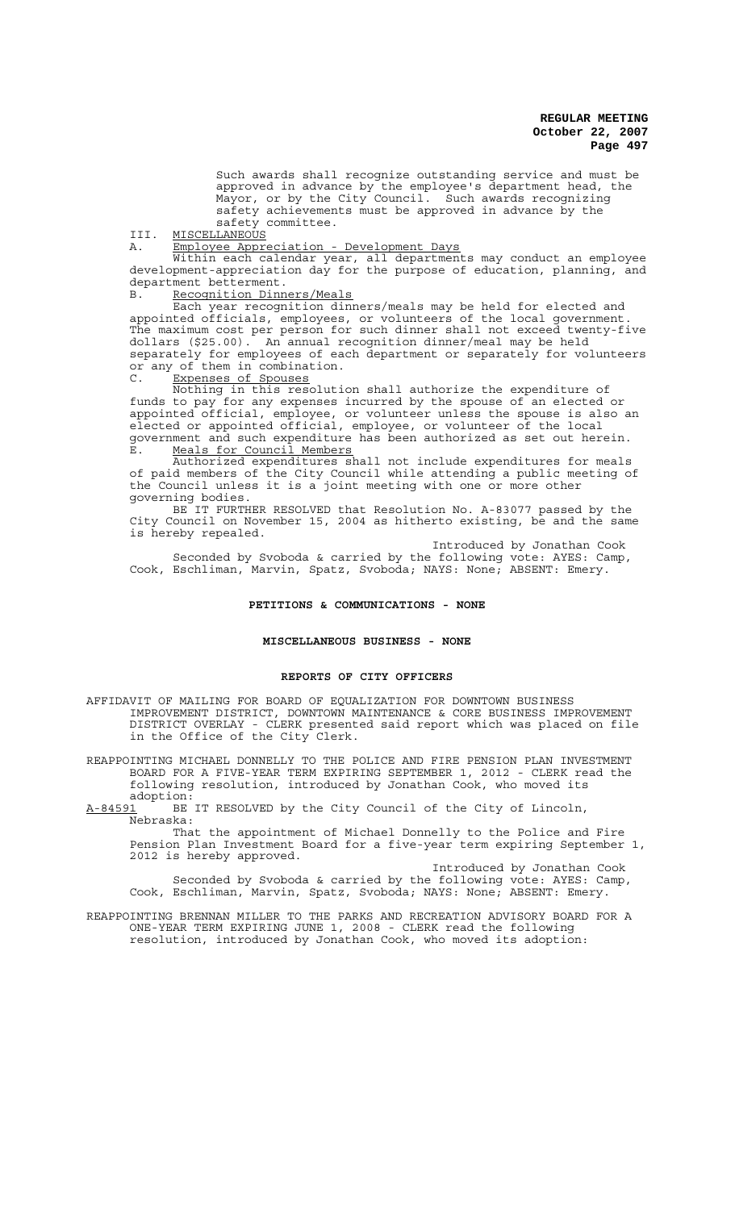Such awards shall recognize outstanding service and must be approved in advance by the employee's department head, the Mayor, or by the City Council. Such awards recognizing safety achievements must be approved in advance by the safety committee.

III. MISCELLANEOUS

A. Employee Appreciation - Development Days

Within each calendar year, all departments may conduct an employee development-appreciation day for the purpose of education, planning, and department betterment.

Recognition Dinners/Meals

Each year recognition dinners/meals may be held for elected and appointed officials, employees, or volunteers of the local government. The maximum cost per person for such dinner shall not exceed twenty-five dollars (\$25.00). An annual recognition dinner/meal may be held separately for employees of each department or separately for volunteers or any of them in combination. C. Expenses of Spouses

Nothing in this resolution shall authorize the expenditure of funds to pay for any expenses incurred by the spouse of an elected or appointed official, employee, or volunteer unless the spouse is also an elected or appointed official, employee, or volunteer of the local government and such expenditure has been authorized as set out herein. E. Meals for Council Members

Authorized expenditures shall not include expenditures for meals of paid members of the City Council while attending a public meeting of the Council unless it is a joint meeting with one or more other governing bodies.

BE IT FURTHER RESOLVED that Resolution No. A-83077 passed by the City Council on November 15, 2004 as hitherto existing, be and the same is hereby repealed.

Introduced by Jonathan Cook Seconded by Svoboda & carried by the following vote: AYES: Camp, Cook, Eschliman, Marvin, Spatz, Svoboda; NAYS: None; ABSENT: Emery.

#### **PETITIONS & COMMUNICATIONS - NONE**

### **MISCELLANEOUS BUSINESS - NONE**

### **REPORTS OF CITY OFFICERS**

AFFIDAVIT OF MAILING FOR BOARD OF EQUALIZATION FOR DOWNTOWN BUSINESS IMPROVEMENT DISTRICT, DOWNTOWN MAINTENANCE & CORE BUSINESS IMPROVEMENT DISTRICT OVERLAY - CLERK presented said report which was placed on file in the Office of the City Clerk.

REAPPOINTING MICHAEL DONNELLY TO THE POLICE AND FIRE PENSION PLAN INVESTMENT BOARD FOR A FIVE-YEAR TERM EXPIRING SEPTEMBER 1, 2012 - CLERK read the following resolution, introduced by Jonathan Cook, who moved its

adoption:<br>A-84591 BE BE IT RESOLVED by the City Council of the City of Lincoln, Nebraska:

That the appointment of Michael Donnelly to the Police and Fire Pension Plan Investment Board for a five-year term expiring September 1, 2012 is hereby approved.

Introduced by Jonathan Cook Seconded by Svoboda & carried by the following vote: AYES: Camp, Cook, Eschliman, Marvin, Spatz, Svoboda; NAYS: None; ABSENT: Emery.

REAPPOINTING BRENNAN MILLER TO THE PARKS AND RECREATION ADVISORY BOARD FOR A ONE-YEAR TERM EXPIRING JUNE 1, 2008 - CLERK read the following resolution, introduced by Jonathan Cook, who moved its adoption: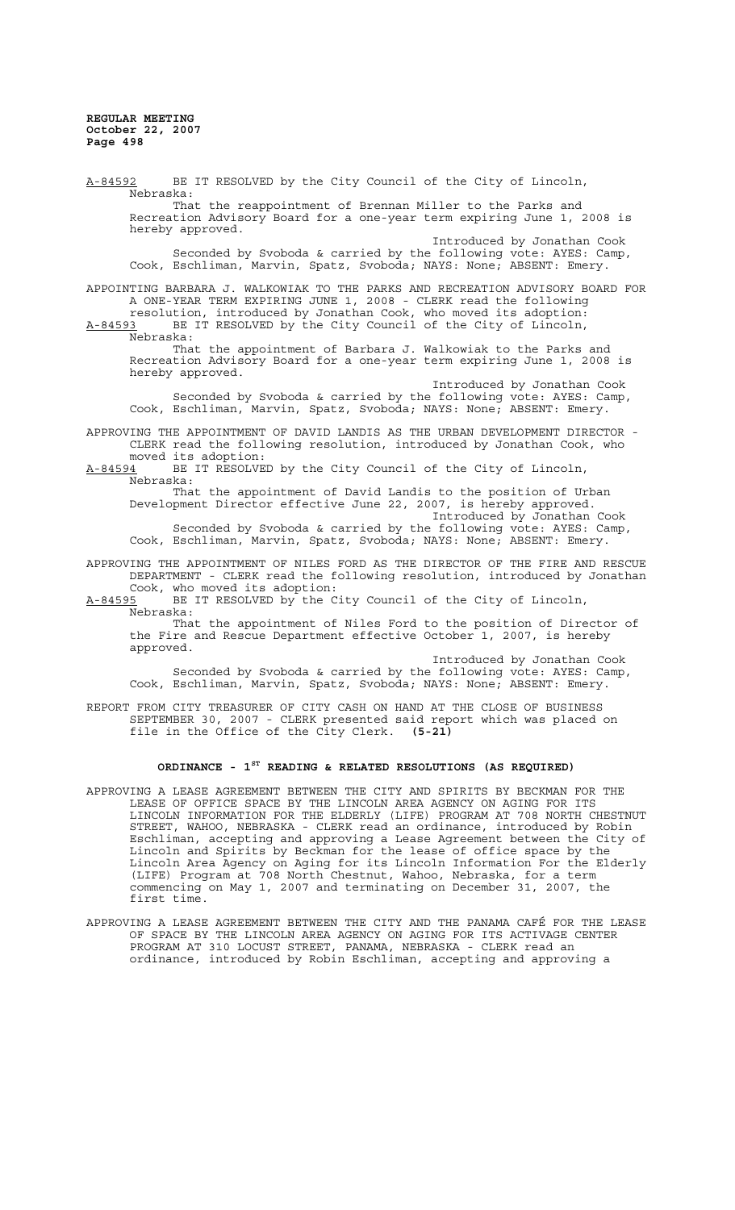A-84592 BE IT RESOLVED by the City Council of the City of Lincoln, Nebraska: That the reappointment of Brennan Miller to the Parks and Recreation Advisory Board for a one-year term expiring June 1, 2008 is hereby approved. Introduced by Jonathan Cook Seconded by Svoboda & carried by the following vote: AYES: Camp, Cook, Eschliman, Marvin, Spatz, Svoboda; NAYS: None; ABSENT: Emery. APPOINTING BARBARA J. WALKOWIAK TO THE PARKS AND RECREATION ADVISORY BOARD FOR A ONE-YEAR TERM EXPIRING JUNE 1, 2008 - CLERK read the following resolution, introduced by Jonathan Cook, who moved its adoption: A-84593 BE IT RESOLVED by the City Council of the City of Lincoln,  $A-84593$  BE J<br>Nebraska: That the appointment of Barbara J. Walkowiak to the Parks and Recreation Advisory Board for a one-year term expiring June 1, 2008 is hereby approved. Introduced by Jonathan Cook Seconded by Svoboda & carried by the following vote: AYES: Camp, Cook, Eschliman, Marvin, Spatz, Svoboda; NAYS: None; ABSENT: Emery. APPROVING THE APPOINTMENT OF DAVID LANDIS AS THE URBAN DEVELOPMENT DIRECTOR - CLERK read the following resolution, introduced by Jonathan Cook, who moved its adoption: A-84594 BE IT RESOLVED by the City Council of the City of Lincoln, Nebraska: That the appointment of David Landis to the position of Urban Development Director effective June 22, 2007, is hereby approved. Introduced by Jonathan Cook Seconded by Svoboda & carried by the following vote: AYES: Camp, Cook, Eschliman, Marvin, Spatz, Svoboda; NAYS: None; ABSENT: Emery. APPROVING THE APPOINTMENT OF NILES FORD AS THE DIRECTOR OF THE FIRE AND RESCUE DEPARTMENT - CLERK read the following resolution, introduced by Jonathan Cook, who moved its adoption:<br>A-84595 BE IT RESOLVED by the C BE IT RESOLVED by the City Council of the City of Lincoln, Nebraska: That the appointment of Niles Ford to the position of Director of the Fire and Rescue Department effective October 1, 2007, is hereby approved. Introduced by Jonathan Cook Seconded by Svoboda & carried by the following vote: AYES: Camp, Cook, Eschliman, Marvin, Spatz, Svoboda; NAYS: None; ABSENT: Emery. REPORT FROM CITY TREASURER OF CITY CASH ON HAND AT THE CLOSE OF BUSINESS SEPTEMBER 30, 2007 - CLERK presented said report which was placed on file in the Office of the City Clerk. **(5-21) ORDINANCE - 1ST READING & RELATED RESOLUTIONS (AS REQUIRED)**

- APPROVING A LEASE AGREEMENT BETWEEN THE CITY AND SPIRITS BY BECKMAN FOR THE LEASE OF OFFICE SPACE BY THE LINCOLN AREA AGENCY ON AGING FOR ITS LINCOLN INFORMATION FOR THE ELDERLY (LIFE) PROGRAM AT 708 NORTH CHESTNUT STREET, WAHOO, NEBRASKA - CLERK read an ordinance, introduced by Robin Eschliman, accepting and approving a Lease Agreement between the City of Lincoln and Spirits by Beckman for the lease of office space by the Lincoln Area Agency on Aging for its Lincoln Information For the Elderly (LIFE) Program at 708 North Chestnut, Wahoo, Nebraska, for a term commencing on May 1, 2007 and terminating on December 31, 2007, the first time.
- APPROVING A LEASE AGREEMENT BETWEEN THE CITY AND THE PANAMA CAFÉ FOR THE LEASE OF SPACE BY THE LINCOLN AREA AGENCY ON AGING FOR ITS ACTIVAGE CENTER PROGRAM AT 310 LOCUST STREET, PANAMA, NEBRASKA - CLERK read an ordinance, introduced by Robin Eschliman, accepting and approving a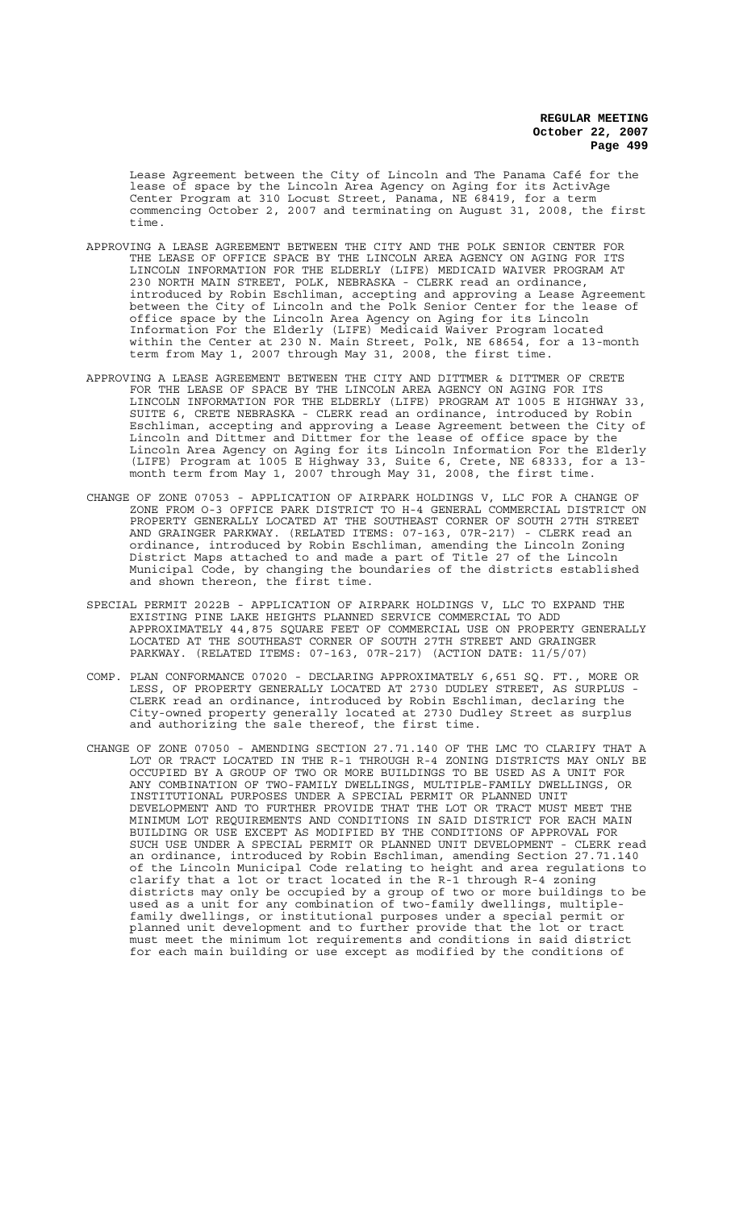Lease Agreement between the City of Lincoln and The Panama Café for the lease of space by the Lincoln Area Agency on Aging for its ActivAge Center Program at 310 Locust Street, Panama, NE 68419, for a term commencing October 2, 2007 and terminating on August 31, 2008, the first time.

- APPROVING A LEASE AGREEMENT BETWEEN THE CITY AND THE POLK SENIOR CENTER FOR<br>THE LEASE OF OFFICE SPACE BY THE LINCOLN AREA AGENCY ON AGING FOR ITS THE LEASE OF OFFICE SPACE BY THE LINCOLN AREA AGENCY ON AGING FOR LINCOLN INFORMATION FOR THE ELDERLY (LIFE) MEDICAID WAIVER PROGRAM AT 230 NORTH MAIN STREET, POLK, NEBRASKA - CLERK read an ordinance, introduced by Robin Eschliman, accepting and approving a Lease Agreement between the City of Lincoln and the Polk Senior Center for the lease of office space by the Lincoln Area Agency on Aging for its Lincoln Information For the Elderly (LIFE) Medicaid Waiver Program located within the Center at 230 N. Main Street, Polk, NE 68654, for a 13-month term from May 1, 2007 through May 31, 2008, the first time.
- APPROVING A LEASE AGREEMENT BETWEEN THE CITY AND DITTMER & DITTMER OF CRETE FOR THE LEASE OF SPACE BY THE LINCOLN AREA AGENCY ON AGING FOR ITS LINCOLN INFORMATION FOR THE ELDERLY (LIFE) PROGRAM AT 1005 E HIGHWAY 33, SUITE 6, CRETE NEBRASKA - CLERK read an ordinance, introduced by Robin Eschliman, accepting and approving a Lease Agreement between the City of Lincoln and Dittmer and Dittmer for the lease of office space by the Lincoln Area Agency on Aging for its Lincoln Information For the Elderly (LIFE) Program at 1005 E Highway 33, Suite 6, Crete, NE 68333, for a 13 month term from May 1, 2007 through May 31, 2008, the first time.
- CHANGE OF ZONE 07053 APPLICATION OF AIRPARK HOLDINGS V, LLC FOR A CHANGE OF ZONE FROM O-3 OFFICE PARK DISTRICT TO H-4 GENERAL COMMERCIAL DISTRICT ON PROPERTY GENERALLY LOCATED AT THE SOUTHEAST CORNER OF SOUTH 27TH STREET AND GRAINGER PARKWAY. (RELATED ITEMS: 07-163, 07R-217) - CLERK read an ordinance, introduced by Robin Eschliman, amending the Lincoln Zoning District Maps attached to and made a part of Title 27 of the Lincoln Municipal Code, by changing the boundaries of the districts established and shown thereon, the first time.
- SPECIAL PERMIT 2022B APPLICATION OF AIRPARK HOLDINGS V, LLC TO EXPAND THE EXISTING PINE LAKE HEIGHTS PLANNED SERVICE COMMERCIAL TO ADD APPROXIMATELY 44,875 SQUARE FEET OF COMMERCIAL USE ON PROPERTY GENERALLY LOCATED AT THE SOUTHEAST CORNER OF SOUTH 27TH STREET AND GRAINGER PARKWAY. (RELATED ITEMS: 07-163, 07R-217) (ACTION DATE: 11/5/07)
- COMP. PLAN CONFORMANCE 07020 DECLARING APPROXIMATELY 6,651 SQ. FT., MORE OR LESS, OF PROPERTY GENERALLY LOCATED AT 2730 DUDLEY STREET, AS SURPLUS - CLERK read an ordinance, introduced by Robin Eschliman, declaring the City-owned property generally located at 2730 Dudley Street as surplus and authorizing the sale thereof, the first time.
- CHANGE OF ZONE 07050 AMENDING SECTION 27.71.140 OF THE LMC TO CLARIFY THAT A LOT OR TRACT LOCATED IN THE R-1 THROUGH R-4 ZONING DISTRICTS MAY ONLY BE OCCUPIED BY A GROUP OF TWO OR MORE BUILDINGS TO BE USED AS A UNIT FOR ANY COMBINATION OF TWO-FAMILY DWELLINGS, MULTIPLE-FAMILY DWELLINGS, OR INSTITUTIONAL PURPOSES UNDER A SPECIAL PERMIT OR PLANNED UNIT DEVELOPMENT AND TO FURTHER PROVIDE THAT THE LOT OR TRACT MUST MEET THE MINIMUM LOT REQUIREMENTS AND CONDITIONS IN SAID DISTRICT FOR EACH MAIN BUILDING OR USE EXCEPT AS MODIFIED BY THE CONDITIONS OF APPROVAL FOR SUCH USE UNDER A SPECIAL PERMIT OR PLANNED UNIT DEVELOPMENT - CLERK read an ordinance, introduced by Robin Eschliman, amending Section 27.71.140 of the Lincoln Municipal Code relating to height and area regulations to clarify that a lot or tract located in the R-1 through R-4 zoning districts may only be occupied by a group of two or more buildings to be used as a unit for any combination of two-family dwellings, multiplefamily dwellings, or institutional purposes under a special permit or planned unit development and to further provide that the lot or tract must meet the minimum lot requirements and conditions in said district for each main building or use except as modified by the conditions of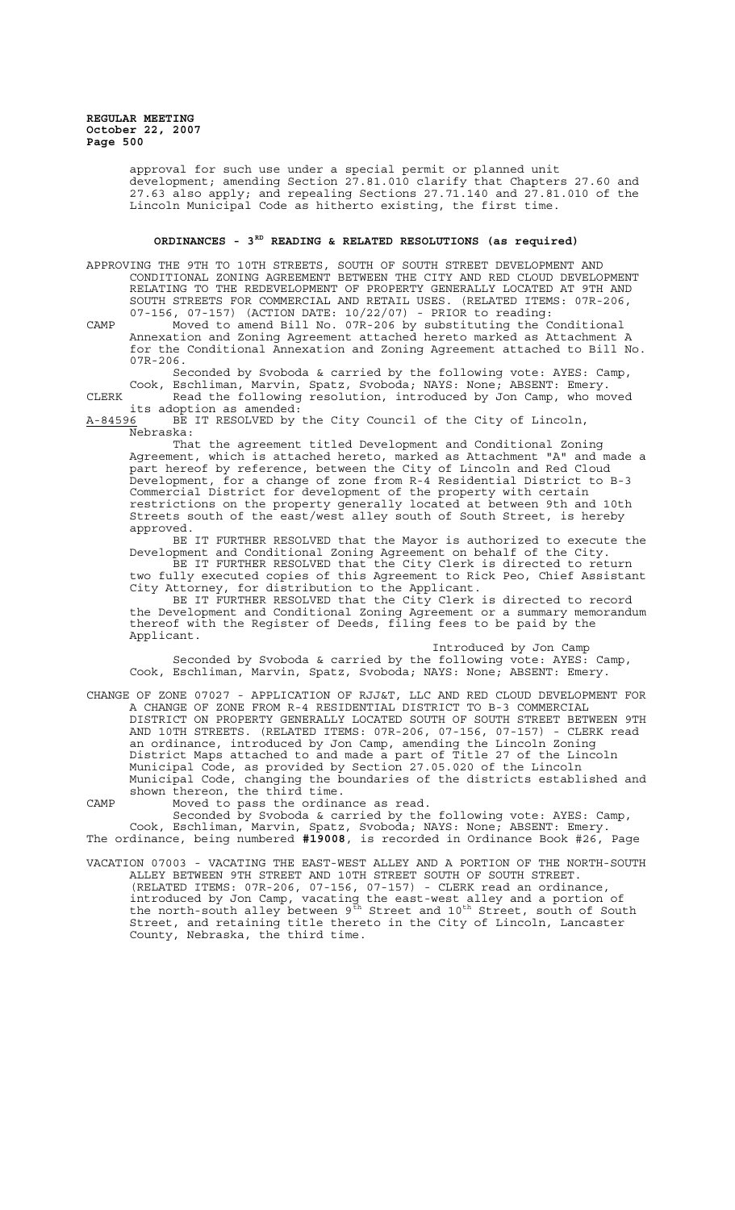> approval for such use under a special permit or planned unit development; amending Section 27.81.010 clarify that Chapters 27.60 and 27.63 also apply; and repealing Sections 27.71.140 and 27.81.010 of the Lincoln Municipal Code as hitherto existing, the first time.

# ORDINANCES - 3<sup>RD</sup> READING & RELATED RESOLUTIONS (as required)

APPROVING THE 9TH TO 10TH STREETS, SOUTH OF SOUTH STREET DEVELOPMENT AND CONDITIONAL ZONING AGREEMENT BETWEEN THE CITY AND RED CLOUD DEVELOPMENT RELATING TO THE REDEVELOPMENT OF PROPERTY GENERALLY LOCATED AT 9TH AND SOUTH STREETS FOR COMMERCIAL AND RETAIL USES. (RELATED ITEMS: 07R-206, 07-156, 07-157) (ACTION DATE: 10/22/07) - PRIOR to reading:

CAMP Moved to amend Bill No. 07R-206 by substituting the Conditional Annexation and Zoning Agreement attached hereto marked as Attachment A for the Conditional Annexation and Zoning Agreement attached to Bill No. 07R-206.

Seconded by Svoboda & carried by the following vote: AYES: Camp, Cook, Eschliman, Marvin, Spatz, Svoboda; NAYS: None; ABSENT: Emery. CLERK Read the following resolution, introduced by Jon Camp, who moved

its adoption as amended:<br>A-84596 BE IT RESOLVED by BE IT RESOLVED by the City Council of the City of Lincoln,

Nebraska:

That the agreement titled Development and Conditional Zoning Agreement, which is attached hereto, marked as Attachment "A" and made a part hereof by reference, between the City of Lincoln and Red Cloud Development, for a change of zone from R-4 Residential District to B-3 Commercial District for development of the property with certain restrictions on the property generally located at between 9th and 10th Streets south of the east/west alley south of South Street, is hereby approved.

BE IT FURTHER RESOLVED that the Mayor is authorized to execute the Development and Conditional Zoning Agreement on behalf of the City. BE IT FURTHER RESOLVED that the City Clerk is directed to return two fully executed copies of this Agreement to Rick Peo, Chief Assistant

City Attorney, for distribution to the Applicant. BE IT FURTHER RESOLVED that the City Clerk is directed to record the Development and Conditional Zoning Agreement or a summary memorandum thereof with the Register of Deeds, filing fees to be paid by the Applicant.

Introduced by Jon Camp

Seconded by Svoboda & carried by the following vote: AYES: Camp, Cook, Eschliman, Marvin, Spatz, Svoboda; NAYS: None; ABSENT: Emery.

CHANGE OF ZONE 07027 - APPLICATION OF RJJ&T, LLC AND RED CLOUD DEVELOPMENT FOR A CHANGE OF ZONE FROM R-4 RESIDENTIAL DISTRICT TO B-3 COMMERCIAL DISTRICT ON PROPERTY GENERALLY LOCATED SOUTH OF SOUTH STREET BETWEEN 9TH AND 10TH STREETS. (RELATED ITEMS: 07R-206, 07-156, 07-157) - CLERK read an ordinance, introduced by Jon Camp, amending the Lincoln Zoning District Maps attached to and made a part of Title 27 of the Lincoln Municipal Code, as provided by Section 27.05.020 of the Lincoln Municipal Code, changing the boundaries of the districts established and shown thereon, the third time.

CAMP Moved to pass the ordinance as read.

Seconded by Svoboda & carried by the following vote: AYES: Camp, Cook, Eschliman, Marvin, Spatz, Svoboda; NAYS: None; ABSENT: Emery. The ordinance, being numbered **#19008**, is recorded in Ordinance Book #26, Page

VACATION 07003 - VACATING THE EAST-WEST ALLEY AND A PORTION OF THE NORTH-SOUTH ALLEY BETWEEN 9TH STREET AND 10TH STREET SOUTH OF SOUTH STREET. (RELATED ITEMS: 07R-206, 07-156, 07-157) - CLERK read an ordinance, introduced by Jon Camp, vacating the east-west alley and a portion of the north-south alley between  $9^{th}$  Street and  $10^{th}$  Street, south of South Street, and retaining title thereto in the City of Lincoln, Lancaster County, Nebraska, the third time.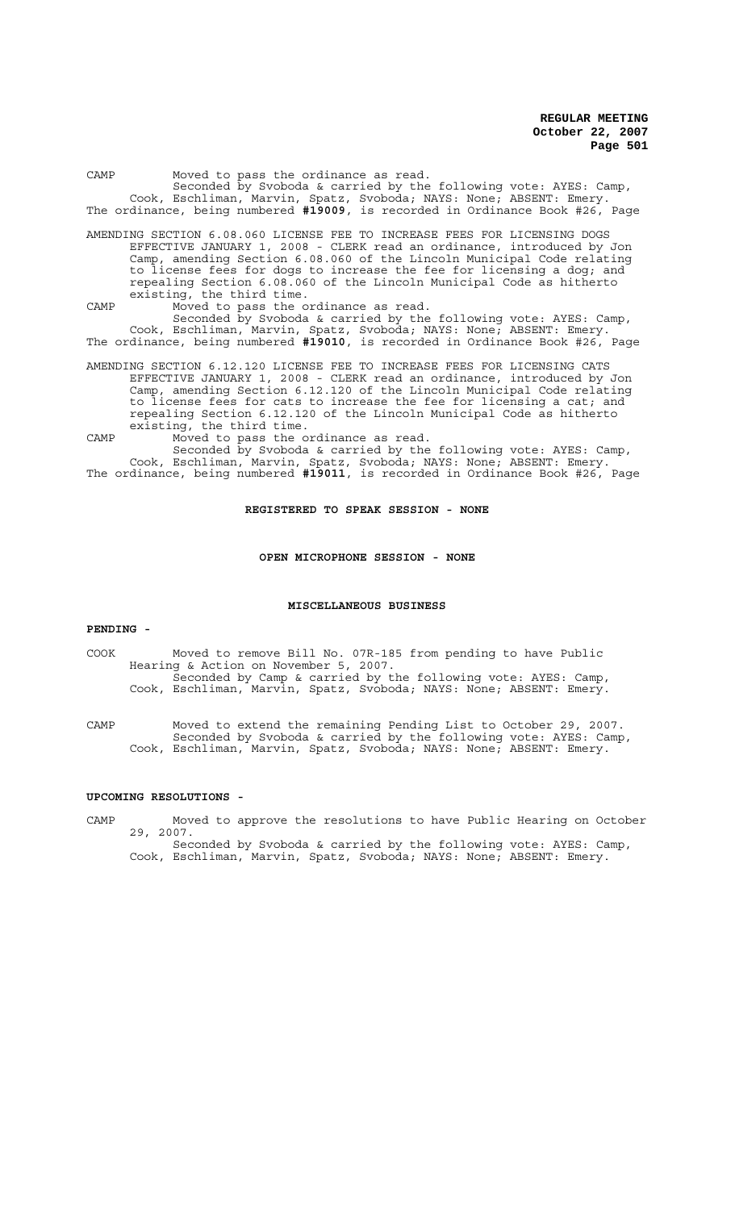| Moved to pass the ordinance as read.<br>CAMP<br>Seconded by Svoboda & carried by the following vote: AYES: Camp,<br>Cook, Eschliman, Marvin, Spatz, Svoboda; NAYS: None; ABSENT: Emery.<br>The ordinance, being numbered #19009, is recorded in Ordinance Book #26, Page                                                                                                                                    |  |
|-------------------------------------------------------------------------------------------------------------------------------------------------------------------------------------------------------------------------------------------------------------------------------------------------------------------------------------------------------------------------------------------------------------|--|
| AMENDING SECTION 6.08.060 LICENSE FEE TO INCREASE FEES FOR LICENSING DOGS<br>EFFECTIVE JANUARY 1, 2008 - CLERK read an ordinance, introduced by Jon<br>Camp, amending Section 6.08.060 of the Lincoln Municipal Code relating<br>to license fees for dogs to increase the fee for licensing a dog; and<br>repealing Section 6.08.060 of the Lincoln Municipal Code as hitherto<br>existing, the third time. |  |
| Moved to pass the ordinance as read.<br>CAMP<br>Seconded by Svoboda & carried by the following vote: AYES: Camp,<br>Cook, Eschliman, Marvin, Spatz, Svoboda; NAYS: None; ABSENT: Emery.                                                                                                                                                                                                                     |  |
| The ordinance, being numbered #19010, is recorded in Ordinance Book #26, Page                                                                                                                                                                                                                                                                                                                               |  |
| AMENDING SECTION 6.12.120 LICENSE FEE TO INCREASE FEES FOR LICENSING CATS<br>EFFECTIVE JANUARY 1, 2008 - CLERK read an ordinance, introduced by Jon<br>Camp, amending Section 6.12.120 of the Lincoln Municipal Code relating<br>to license fees for cats to increase the fee for licensing a cat; and<br>repealing Section 6.12.120 of the Lincoln Municipal Code as hitherto<br>existing, the third time. |  |
| Moved to pass the ordinance as read.<br>CAMP<br>Seconded by Sychoda & carried by the following yote: $\Delta VFS$ Camp                                                                                                                                                                                                                                                                                      |  |

Seconded by Svoboda & carried by the following vote: AYES: Camp, Cook, Eschliman, Marvin, Spatz, Svoboda; NAYS: None; ABSENT: Emery. The ordinance, being numbered **#19011**, is recorded in Ordinance Book #26, Page

# **REGISTERED TO SPEAK SESSION - NONE**

### **OPEN MICROPHONE SESSION - NONE**

### **MISCELLANEOUS BUSINESS**

### **PENDING -**

COOK Moved to remove Bill No. 07R-185 from pending to have Public Hearing & Action on November 5, 2007. Seconded by Camp & carried by the following vote: AYES: Camp, Cook, Eschliman, Marvin, Spatz, Svoboda; NAYS: None; ABSENT: Emery.

CAMP Moved to extend the remaining Pending List to October 29, 2007. Seconded by Svoboda & carried by the following vote: AYES: Camp, Cook, Eschliman, Marvin, Spatz, Svoboda; NAYS: None; ABSENT: Emery.

### **UPCOMING RESOLUTIONS -**

CAMP Moved to approve the resolutions to have Public Hearing on October 29, 2007. Seconded by Svoboda & carried by the following vote: AYES: Camp, Cook, Eschliman, Marvin, Spatz, Svoboda; NAYS: None; ABSENT: Emery.